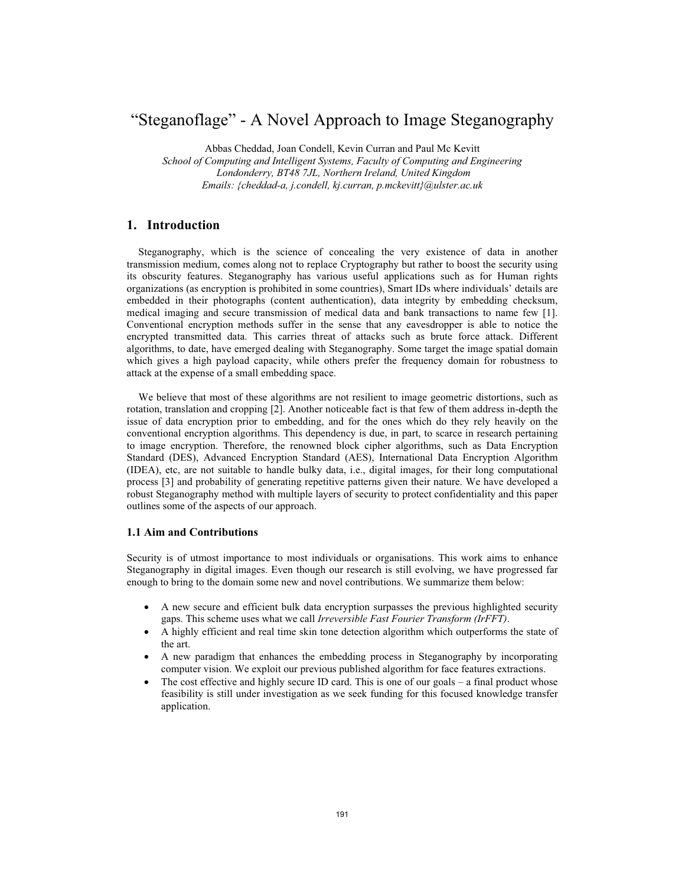# "Steganoflage" - A Novel Approach to Image Steganography

Abbas Cheddad, Joan Condell, Kevin Curran and Paul Mc Kevitt

*School of Computing and Intelligent Systems, Faculty of Computing and Engineering Londonderry, BT48 7JL, Northern Ireland, United Kingdom Emails: {cheddad-a, j.condell, kj.curran, p.mckevitt}@ulster.ac.uk* 

# **1. Introduction**

Steganography, which is the science of concealing the very existence of data in another transmission medium, comes along not to replace Cryptography but rather to boost the security using its obscurity features. Steganography has various useful applications such as for Human rights organizations (as encryption is prohibited in some countries), Smart IDs where individuals' details are embedded in their photographs (content authentication), data integrity by embedding checksum, medical imaging and secure transmission of medical data and bank transactions to name few [1]. Conventional encryption methods suffer in the sense that any eavesdropper is able to notice the encrypted transmitted data. This carries threat of attacks such as brute force attack. Different algorithms, to date, have emerged dealing with Steganography. Some target the image spatial domain which gives a high payload capacity, while others prefer the frequency domain for robustness to attack at the expense of a small embedding space.

We believe that most of these algorithms are not resilient to image geometric distortions, such as rotation, translation and cropping [2]. Another noticeable fact is that few of them address in-depth the issue of data encryption prior to embedding, and for the ones which do they rely heavily on the conventional encryption algorithms. This dependency is due, in part, to scarce in research pertaining to image encryption. Therefore, the renowned block cipher algorithms, such as Data Encryption Standard (DES), Advanced Encryption Standard (AES), International Data Encryption Algorithm (IDEA), etc, are not suitable to handle bulky data, i.e., digital images, for their long computational process [3] and probability of generating repetitive patterns given their nature. We have developed a robust Steganography method with multiple layers of security to protect confidentiality and this paper outlines some of the aspects of our approach.

### **1.1 Aim and Contributions**

Security is of utmost importance to most individuals or organisations. This work aims to enhance Steganography in digital images. Even though our research is still evolving, we have progressed far enough to bring to the domain some new and novel contributions. We summarize them below:

- A new secure and efficient bulk data encryption surpasses the previous highlighted security gaps. This scheme uses what we call *Irreversible Fast Fourier Transform (IrFFT)*.
- A highly efficient and real time skin tone detection algorithm which outperforms the state of the art.
- A new paradigm that enhances the embedding process in Steganography by incorporating computer vision. We exploit our previous published algorithm for face features extractions.
- The cost effective and highly secure ID card. This is one of our goals a final product whose feasibility is still under investigation as we seek funding for this focused knowledge transfer application.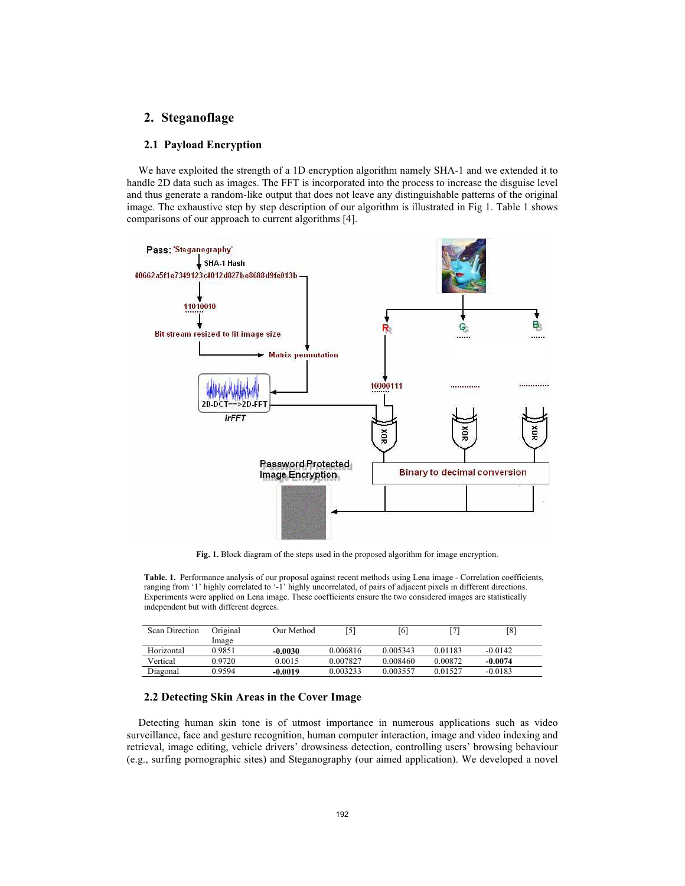# **2. Steganoflage**

#### **2.1 Payload Encryption**

We have exploited the strength of a 1D encryption algorithm namely SHA-1 and we extended it to handle 2D data such as images. The FFT is incorporated into the process to increase the disguise level and thus generate a random-like output that does not leave any distinguishable patterns of the original image. The exhaustive step by step description of our algorithm is illustrated in Fig 1. Table 1 shows comparisons of our approach to current algorithms [4].



**Fig. 1.** Block diagram of the steps used in the proposed algorithm for image encryption.

**Table. 1.** Performance analysis of our proposal against recent methods using Lena image - Correlation coefficients, ranging from '1' highly correlated to '-1' highly uncorrelated, of pairs of adjacent pixels in different directions. Experiments were applied on Lena image. These coefficients ensure the two considered images are statistically independent but with different degrees.

| <b>Scan Direction</b> | Original | Our Method |          | [6]      | 71      | [8]       |  |
|-----------------------|----------|------------|----------|----------|---------|-----------|--|
|                       | Image    |            |          |          |         |           |  |
| Horizontal            | 0.9851   | $-0.0030$  | 0.006816 | 0.005343 | 0.01183 | $-0.0142$ |  |
| Vertical              | 0.9720   | 0.0015     | 0.007827 | 0.008460 | 0.00872 | $-0.0074$ |  |
| Diagonal              | 0.9594   | $-0.0019$  | 0.003233 | 0.003557 | 0.01527 | $-0.0183$ |  |

#### **2.2 Detecting Skin Areas in the Cover Image**

Detecting human skin tone is of utmost importance in numerous applications such as video surveillance, face and gesture recognition, human computer interaction, image and video indexing and retrieval, image editing, vehicle drivers' drowsiness detection, controlling users' browsing behaviour (e.g., surfing pornographic sites) and Steganography (our aimed application). We developed a novel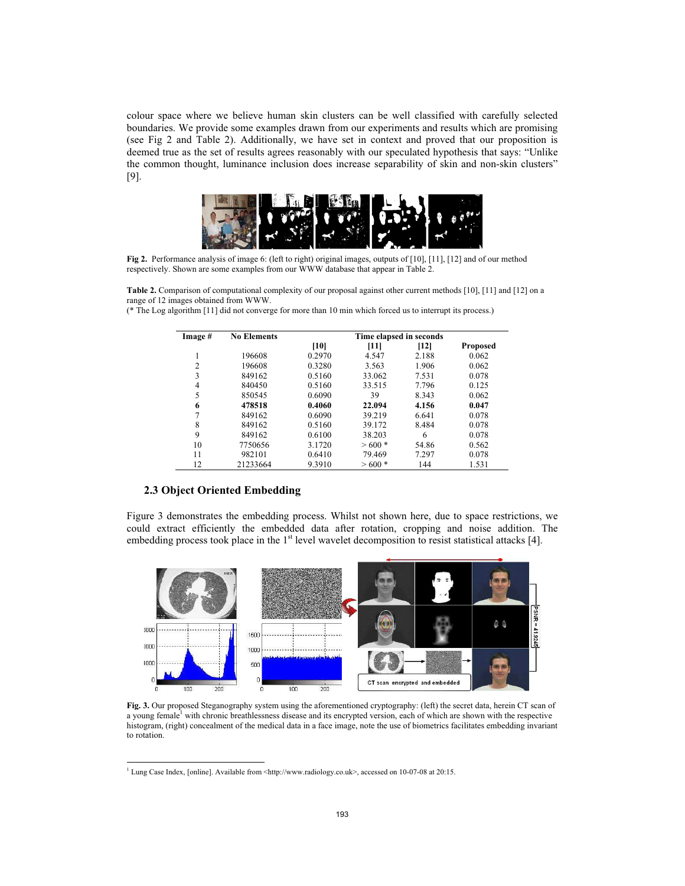colour space where we believe human skin clusters can be well classified with carefully selected boundaries. We provide some examples drawn from our experiments and results which are promising (see Fig 2 and Table 2). Additionally, we have set in context and proved that our proposition is deemed true as the set of results agrees reasonably with our speculated hypothesis that says: "Unlike the common thought, luminance inclusion does increase separability of skin and non-skin clusters" [9].



**Fig 2.** Performance analysis of image 6: (left to right) original images, outputs of [10], [11], [12] and of our method respectively. Shown are some examples from our WWW database that appear in Table 2.

**Table 2.** Comparison of computational complexity of our proposal against other current methods [10], [11] and [12] on a range of 12 images obtained from WWW.

|  |  |  | (* The Log algorithm [11] did not converge for more than 10 min which forced us to interrupt its process.) |  |
|--|--|--|------------------------------------------------------------------------------------------------------------|--|
|  |  |  |                                                                                                            |  |

| Image #        | <b>No Elements</b> | Time elapsed in seconds |         |        |                 |  |
|----------------|--------------------|-------------------------|---------|--------|-----------------|--|
|                |                    | [10]                    | $[11]$  | $[12]$ | <b>Proposed</b> |  |
|                | 196608             | 0.2970                  | 4.547   | 2.188  | 0.062           |  |
| $\overline{2}$ | 196608             | 0.3280                  | 3.563   | 1.906  | 0.062           |  |
| 3              | 849162             | 0.5160                  | 33.062  | 7.531  | 0.078           |  |
| 4              | 840450             | 0.5160                  | 33.515  | 7.796  | 0.125           |  |
| 5              | 850545             | 0.6090                  | 39      | 8.343  | 0.062           |  |
| 6              | 478518             | 0.4060                  | 22.094  | 4.156  | 0.047           |  |
| 7              | 849162             | 0.6090                  | 39.219  | 6.641  | 0.078           |  |
| 8              | 849162             | 0.5160                  | 39.172  | 8.484  | 0.078           |  |
| 9              | 849162             | 0.6100                  | 38.203  | 6      | 0.078           |  |
| 10             | 7750656            | 3.1720                  | $>600*$ | 54.86  | 0.562           |  |
| 11             | 982101             | 0.6410                  | 79.469  | 7.297  | 0.078           |  |
| 12             | 21233664           | 9.3910                  | $>600*$ | 144    | 1.531           |  |

#### **2.3 Object Oriented Embedding**

Figure 3 demonstrates the embedding process. Whilst not shown here, due to space restrictions, we could extract efficiently the embedded data after rotation, cropping and noise addition. The embedding process took place in the  $1<sup>st</sup>$  level wavelet decomposition to resist statistical attacks [4].



**Fig. 3.** Our proposed Steganography system using the aforementioned cryptography: (left) the secret data, herein CT scan of a young female<sup>1</sup> with chronic breathlessness disease and its encrypted version, each of which are shown with the respective histogram, (right) concealment of the medical data in a face image, note the use of biometrics facilitates embedding invariant to rotation.

<sup>&</sup>lt;sup>1</sup> Lung Case Index, [online]. Available from <http://www.radiology.co.uk>, accessed on 10-07-08 at 20:15.